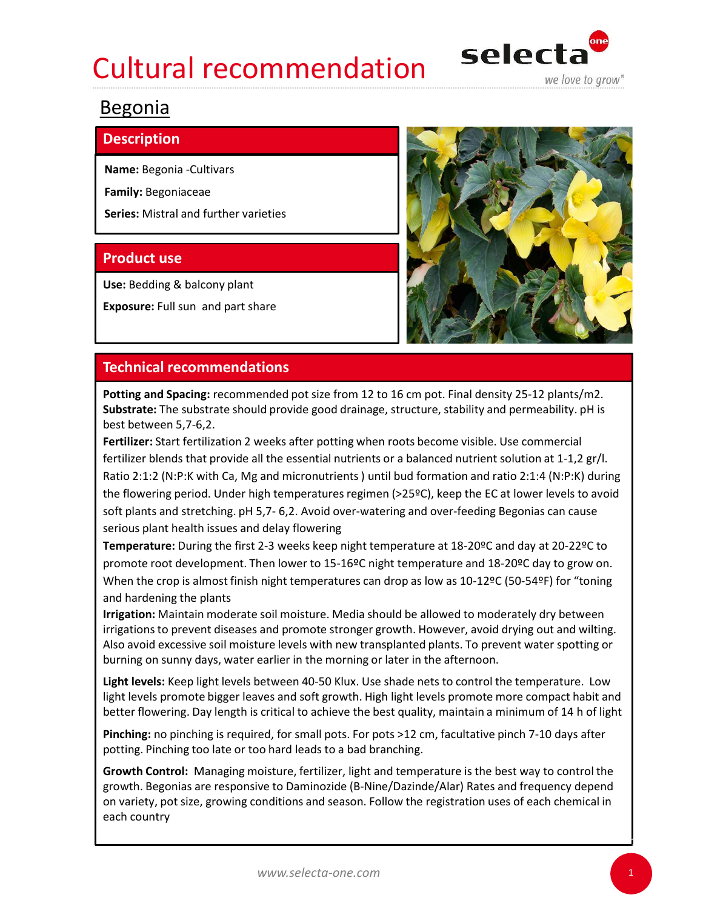## Cultural recommendation selecta



## Begonia

## **Description**

Name: Begonia -Cultivars

Family: Begoniaceae

Series: Mistral and further varieties

Use: Bedding & balcony plant

Exposure: Full sun and part share



Potting and Spacing: recommended pot size from 12 to 16 cm pot. Final density 25-12 plants/m2. Substrate: The substrate should provide good drainage, structure, stability and permeability. pH is best between 5,7-6,2.

Fertilizer: Start fertilization 2 weeks after potting when roots become visible. Use commercial fertilizer blends that provide all the essential nutrients or a balanced nutrient solution at 1-1,2 gr/l. Ratio 2:1:2 (N:P:K with Ca, Mg and micronutrients ) until bud formation and ratio 2:1:4 (N:P:K) during the flowering period. Under high temperatures regimen (>25ºC), keep the EC at lower levels to avoid **Product use**<br>
Use: Bedding & balcony plant<br> **Exposure:** Full sun and part share<br> **Technical recommendations**<br> **Potting and Spacing:** recommended pot size from 12 to 16 cm pot. Final density 25-12 plants/m2.<br>
Substrate: Th serious plant health issues and delay flowering Exposure: Full sun and part share<br> **Pechnical recommendations**<br> **Pothig and Spacing:** recommended pot size from 12 to 16 cm pot. Final density 25-12 plants/m2.<br> **Substrate:** The substrate should provide good drainage, stru

Temperature: During the first 2-3 weeks keep night temperature at 18-20ºC and day at 20-22ºC to promote root development. Then lower to 15-16ºC night temperature and 18-20ºC day to grow on. and hardening the plants

Irrigation: Maintain moderate soil moisture. Media should be allowed to moderately dry between irrigations to prevent diseases and promote stronger growth. However, avoid drying out and wilting. Also avoid excessive soil moisture levels with new transplanted plants. To prevent water spotting or burning on sunny days, water earlier in the morning or later in the afternoon.

Light levels: Keep light levels between 40-50 Klux. Use shade nets to control the temperature. Low light levels promote bigger leaves and soft growth. High light levels promote more compact habit and better flowering. Day length is critical to achieve the best quality, maintain a minimum of 14 h of light

Pinching: no pinching is required, for small pots. For pots >12 cm, facultative pinch 7-10 days after potting. Pinching too late or too hard leads to a bad branching.

Growth Control: Managing moisture, fertilizer, light and temperature is the best way to control the growth. Begonias are responsive to Daminozide (B-Nine/Dazinde/Alar) Rates and frequency depend on variety, pot size, growing conditions and season. Follow the registration uses of each chemical in each country

1